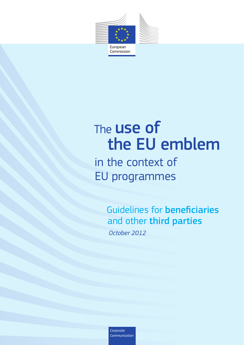

# The **USe of** the EU emblem

## in the context of EU programmes

 Guidelines for beneficiaries and other third parties *October 2012*

*Corporate Communication*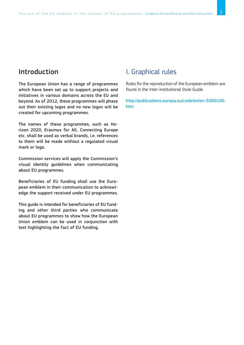## Introduction

The European Union has a range of programmes which have been set up to support projects and initiatives in various domains across the EU and beyond. As of 2012, these programmes will phase out their existing logos and no new logos will be created for upcoming programmes.

The names of these programmes, such as Horizon 2020, Erasmus for All, Connecting Europe etc. shall be used as verbal brands, i.e. references to them will be made without a regulated visual mark or logo.

Commission services will apply the Commission's visual identity guidelines when communicating about EU programmes.

Beneficiaries of EU funding shall use the European emblem in their communication to acknowledge the support received under EU programmes.

This guide is intended for beneficiaries of EU funding and other third parties who communicate about EU programmes to show how the European Union emblem can be used in conjunction with text highlighting the fact of EU funding.

## I. Graphical rules

Rules for the reproduction of the European emblem are found in the Inter-institutional Style Guide.

http://publications.europa.eu/code/en/en-5000100. htm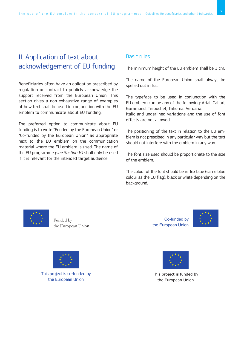## II. Application of text about acknowledgement of EU funding

Beneficiaries often have an obligation prescribed by regulation or contract to publicly acknowledge the support received from the European Union. This section gives a non-exhaustive range of examples of how text shall be used in conjunction with the EU emblem to communicate about EU funding.

The preferred option to communicate about EU funding is to write "Funded by the European Union" or "Co-funded by the European Union" as appropriate next to the EU emblem on the communication material where the EU emblem is used. The name of the EU programme *(see Section V.)* shall only be used if it is relevant for the intended target audience.

#### Basic rules

The minimum height of the EU emblem shall be 1 cm.

The name of the European Union shall always be spelled out in full.

The typeface to be used in conjunction with the EU emblem can be any of the following: Arial, Calibri, Garamond, Trebuchet, Tahoma, Verdana.

Italic and underlined variations and the use of font effects are not allowed.

The positioning of the text in relation to the EU emblem is not prescibed in any particular way but the text should not interfere with the emblem in any way.

The font size used should be proportionate to the size of the emblem.

The colour of the font should be reflex blue (same blue colour as the EU flag), black or white depending on the background.



Funded by the European Union



This project is co-funded by the European Union

Co-funded by the European Union





This project is funded by the European Union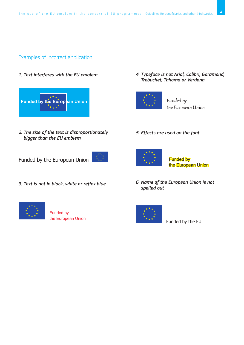#### Examples of incorrect application

*1. Text interferes with the EU emblem*



*2. The size of the text is disproportionately bigger than the EU emblem*

Funded by the European Union

*3. Text is not in black, white or reflex blue*



 Funded by the European Union *4. Typeface is not Arial, Calibri, Garamond, Trebuchet, Tahoma or Verdana*



Funded by the European Union

### *5. Effects are used on the font*



 Funded by the European Union

*6. Name of the European Union is not spelled out*



Funded by the EU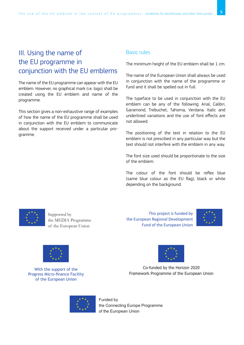## III. Using the name of the EU programme in conjunction with the EU emblems

The name of the EU programme can appear with the EU emblem. However, no graphical mark (i.e. logo) shall be created using the EU emblem and name of the programme.

This section gives a non-exhaustive range of examples of how the name of the EU programme shall be used in conjunction with the EU emblem to communicate about the support received under a particular programme.

#### Basic rules

The minimum height of the EU emblem shall be 1 cm.

The name of the European Union shall always be used in conjunction with the name of the programme or fund and it shall be spelled out in full.

The typeface to be used in conjunction with the EU emblem can be any of the following: Arial, Calibri, Garamond, Trebuchet, Tahoma, Verdana. Italic and underlined variations and the use of font effects are not allowed.

The positioning of the text in relation to the EU emblem is not prescibed in any particular way but the text should not interfere with the emblem in any way.

The font size used should be proportionate to the size of the emblem.

The colour of the font should be reflex blue (same blue colour as the EU flag), black or white depending on the background.



Supported by the MEDIA Programme of the European Union

This project is funded by the European Regional Development Fund of the European Union





With the support of the Progress Micro-finance Facility of the European Union



Co-funded by the Horizon 2020 Framework Programme of the European Union



Funded by the Connecting Europe Programme of the European Union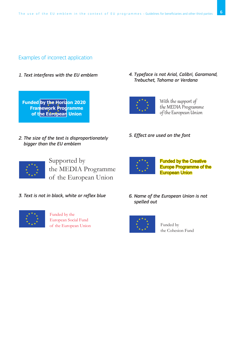#### Examples of incorrect application

*1. Text interferes with the EU emblem*

**Funded by the Horizon 2020 Framework Programme of the European Union** 

*4. Typeface is not Arial, Calibri, Garamond, Trebuchet, Tahoma or Verdana*



With the support of the MEDIA Programme of the European Union

- *2. The size of the text is disproportionately bigger than the EU emblem*
- *5. Effect are used on the font*



Supported by the MEDIA Programme of the European Union

*3. Text is not in black, white or reflex blue*



Funded by the European Social Fund of the European Union

Funded by the Creative Europe Programme of the European Union





Funded by the Cohesion Fund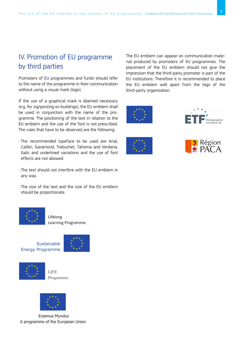## IV. Promotion of EU programme by third parties

Promoters of EU programmes and funds should refer to the name of the programme in their communication without using a visual mark (logo).

If the use of a graphical mark is deemed necessary (e.g. for signposting on buildings), the EU emblem shall be used in conjunction with the name of the programme. The positioning of the text in relation to the EU emblem and the use of the font is not prescribed. The rules that have to be observed are the following:

- The recommended typeface to be used are Arial, Calibri, Garamond, Trebuchet, Tahoma and Verdana. Italic and underlined variations and the use of font effects are not allowed.
- The text should not interfere with the EU emblem in any way.
- The size of the text and the size of the EU emblem should be proportionate.



Lifelong Learning Programme

**Sustainable** Energy Programme





LIFE Programme



 Erasmus Mundus A programme of the European Union The EU emblem can appear on communication material produced by promoters of EU programmes. The placement of the EU emblem should not give the impression that the third-party promoter is part of the EU institutions. Therefore it is recommended to place the EU emblem well apart from the logo of the third-party organisation.